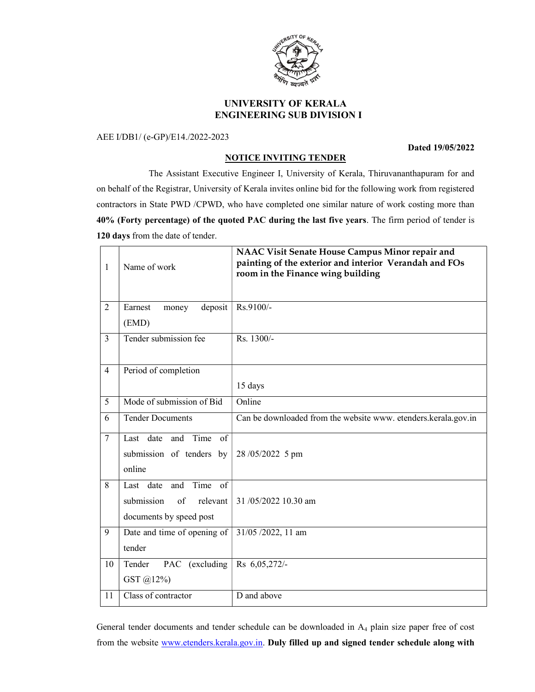

# UNIVERSITY OF KERALA ENGINEERING SUB DIVISION I

AEE I/DB1/ (e-GP)/E14./2022-2023

### Dated 19/05/2022

# NOTICE INVITING TENDER

 The Assistant Executive Engineer I, University of Kerala, Thiruvananthapuram for and on behalf of the Registrar, University of Kerala invites online bid for the following work from registered contractors in State PWD /CPWD, who have completed one similar nature of work costing more than 40% (Forty percentage) of the quoted PAC during the last five years. The firm period of tender is 120 days from the date of tender.

| $\mathbf{1}$    | Name of work                                                | NAAC Visit Senate House Campus Minor repair and<br>painting of the exterior and interior Verandah and FOs<br>room in the Finance wing building |
|-----------------|-------------------------------------------------------------|------------------------------------------------------------------------------------------------------------------------------------------------|
| $\overline{2}$  | deposit<br>Earnest<br>money<br>(EMD)                        | Rs.9100/-                                                                                                                                      |
|                 |                                                             |                                                                                                                                                |
| 3               | Tender submission fee                                       | Rs. 1300/-                                                                                                                                     |
| $\overline{4}$  | Period of completion                                        |                                                                                                                                                |
|                 |                                                             | 15 days                                                                                                                                        |
| $5\overline{)}$ | Mode of submission of Bid                                   | Online                                                                                                                                         |
| 6               | <b>Tender Documents</b>                                     | Can be downloaded from the website www. etenders.kerala.gov.in                                                                                 |
| $\tau$          | Last date and Time of<br>submission of tenders by<br>online | 28/05/2022 5 pm                                                                                                                                |
| 8               | Time of<br>Last date<br>and                                 |                                                                                                                                                |
|                 | submission<br>of<br>relevant                                | 31/05/2022 10.30 am                                                                                                                            |
|                 | documents by speed post                                     |                                                                                                                                                |
| 9               | Date and time of opening of                                 | $\overline{31/05}$ /2022, 11 am                                                                                                                |
|                 | tender                                                      |                                                                                                                                                |
| 10              | Tender<br>PAC (excluding                                    | Rs 6,05,272/-                                                                                                                                  |
|                 | GST @12%)                                                   |                                                                                                                                                |
| 11              | Class of contractor                                         | D and above                                                                                                                                    |

General tender documents and tender schedule can be downloaded in A<sub>4</sub> plain size paper free of cost from the website www.etenders.kerala.gov.in. Duly filled up and signed tender schedule along with